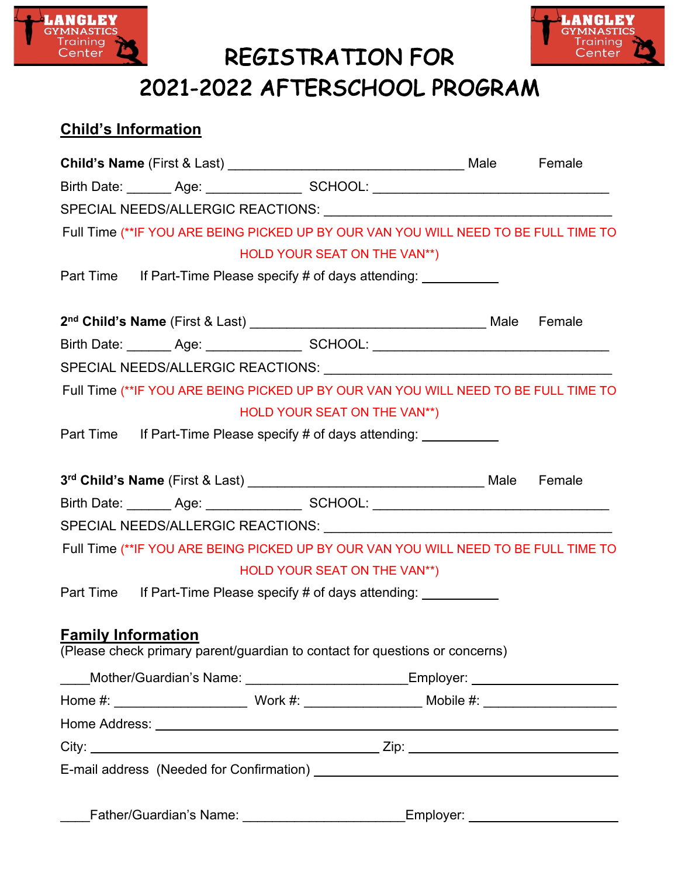

REGISTRATION FOR



# 2021-2022 AFTERSCHOOL PROGRAM

## **Child's Information**

|                           | Birth Date: _______ Age: _________________ SCHOOL: _____________________________     |  |
|---------------------------|--------------------------------------------------------------------------------------|--|
|                           |                                                                                      |  |
|                           | Full Time (**IF YOU ARE BEING PICKED UP BY OUR VAN YOU WILL NEED TO BE FULL TIME TO  |  |
|                           | HOLD YOUR SEAT ON THE VAN**)                                                         |  |
|                           | Part Time If Part-Time Please specify # of days attending: ___________               |  |
|                           |                                                                                      |  |
|                           |                                                                                      |  |
|                           | Birth Date: _______ Age: _________________ SCHOOL: _____________________________     |  |
|                           |                                                                                      |  |
|                           | Full Time (**IF YOU ARE BEING PICKED UP BY OUR VAN YOU WILL NEED TO BE FULL TIME TO  |  |
|                           | HOLD YOUR SEAT ON THE VAN**)                                                         |  |
|                           | Part Time If Part-Time Please specify # of days attending: ___________               |  |
|                           |                                                                                      |  |
|                           |                                                                                      |  |
|                           | Birth Date: _______ Age: _________________ SCHOOL: _____________________________     |  |
|                           |                                                                                      |  |
|                           | Full Time (** IF YOU ARE BEING PICKED UP BY OUR VAN YOU WILL NEED TO BE FULL TIME TO |  |
|                           | HOLD YOUR SEAT ON THE VAN**)                                                         |  |
|                           | Part Time If Part-Time Please specify # of days attending:                           |  |
|                           |                                                                                      |  |
| <b>Family Information</b> |                                                                                      |  |
|                           | (Please check primary parent/guardian to contact for questions or concerns)          |  |
| $\overline{\phantom{a}}$  | _Mother/Guardian's Name: __________________________Employer: ___________________     |  |
|                           |                                                                                      |  |
|                           |                                                                                      |  |
|                           |                                                                                      |  |
|                           |                                                                                      |  |
|                           |                                                                                      |  |
|                           | _Father/Guardian's Name: ___________________________Employer: __________________     |  |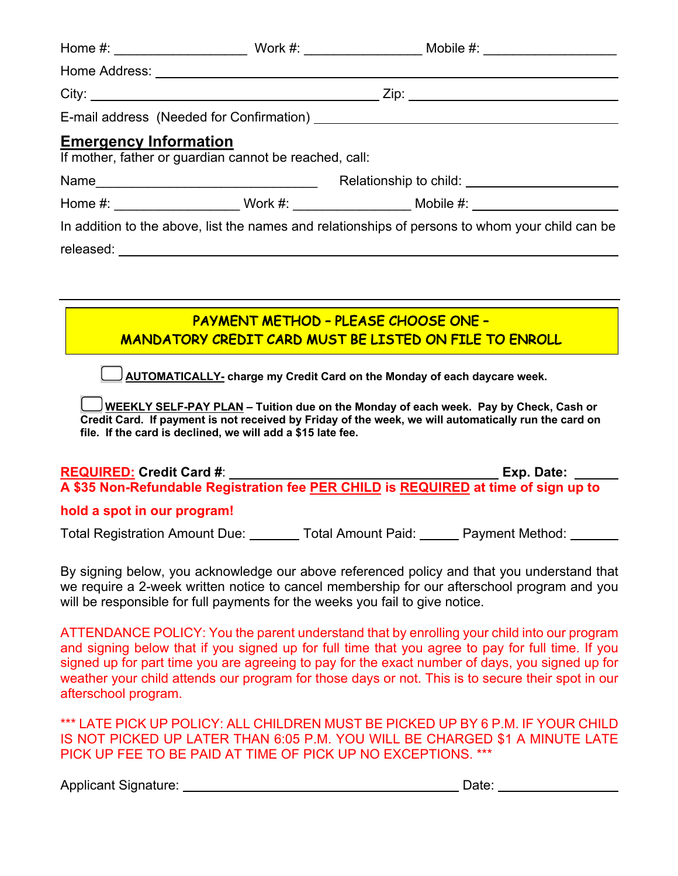|                                                                                                 | E-mail address (Needed for Confirmation) [2012] [2013] [2013] [2013] [2013] [2013] [2014] [2014] [2014] [2014] [2014] [2014] [2014] [2014] [2014] [2014] [2014] [2014] [2014] [2014] [2014] [2014] [2014] [2014] [2014] [2014] |  |  |  |  |  |
|-------------------------------------------------------------------------------------------------|--------------------------------------------------------------------------------------------------------------------------------------------------------------------------------------------------------------------------------|--|--|--|--|--|
| <b>Emergency Information</b>                                                                    | If mother, father or guardian cannot be reached, call:                                                                                                                                                                         |  |  |  |  |  |
|                                                                                                 |                                                                                                                                                                                                                                |  |  |  |  |  |
|                                                                                                 | Home #: ______________________Work #: _______________________Mobile #: _____________________________                                                                                                                           |  |  |  |  |  |
| In addition to the above, list the names and relationships of persons to whom your child can be |                                                                                                                                                                                                                                |  |  |  |  |  |
|                                                                                                 |                                                                                                                                                                                                                                |  |  |  |  |  |
|                                                                                                 |                                                                                                                                                                                                                                |  |  |  |  |  |
|                                                                                                 |                                                                                                                                                                                                                                |  |  |  |  |  |
|                                                                                                 | <b>PAYMENT METHOD - PLEASE CHOOSE ONE -</b>                                                                                                                                                                                    |  |  |  |  |  |

MANDATORY CREDIT CARD MUST BE LISTED ON FILE TO ENROLL

**AUTOMATICALLY- charge my Credit Card on the Monday of each daycare week.** 

**WEEKLY SELF-PAY PLAN – Tuition due on the Monday of each week. Pay by Check, Cash or Credit Card. If payment is not received by Friday of the week, we will automatically run the card on file. If the card is declined, we will add a \$15 late fee.**

**REQUIRED: Credit Card #**: **Exp. Date: A \$35 Non-Refundable Registration fee PER CHILD is REQUIRED at time of sign up to** 

### **hold a spot in our program!**

Total Registration Amount Due: Total Amount Paid: Payment Method:

By signing below, you acknowledge our above referenced policy and that you understand that we require a 2-week written notice to cancel membership for our afterschool program and you will be responsible for full payments for the weeks you fail to give notice.

ATTENDANCE POLICY: You the parent understand that by enrolling your child into our program and signing below that if you signed up for full time that you agree to pay for full time. If you signed up for part time you are agreeing to pay for the exact number of days, you signed up for weather your child attends our program for those days or not. This is to secure their spot in our afterschool program.

\*\*\* LATE PICK UP POLICY: ALL CHILDREN MUST BE PICKED UP BY 6 P.M. IF YOUR CHILD IS NOT PICKED UP LATER THAN 6:05 P.M. YOU WILL BE CHARGED \$1 A MINUTE LATE PICK UP FEE TO BE PAID AT TIME OF PICK UP NO EXCEPTIONS. \*\*\*

Applicant Signature: Date: